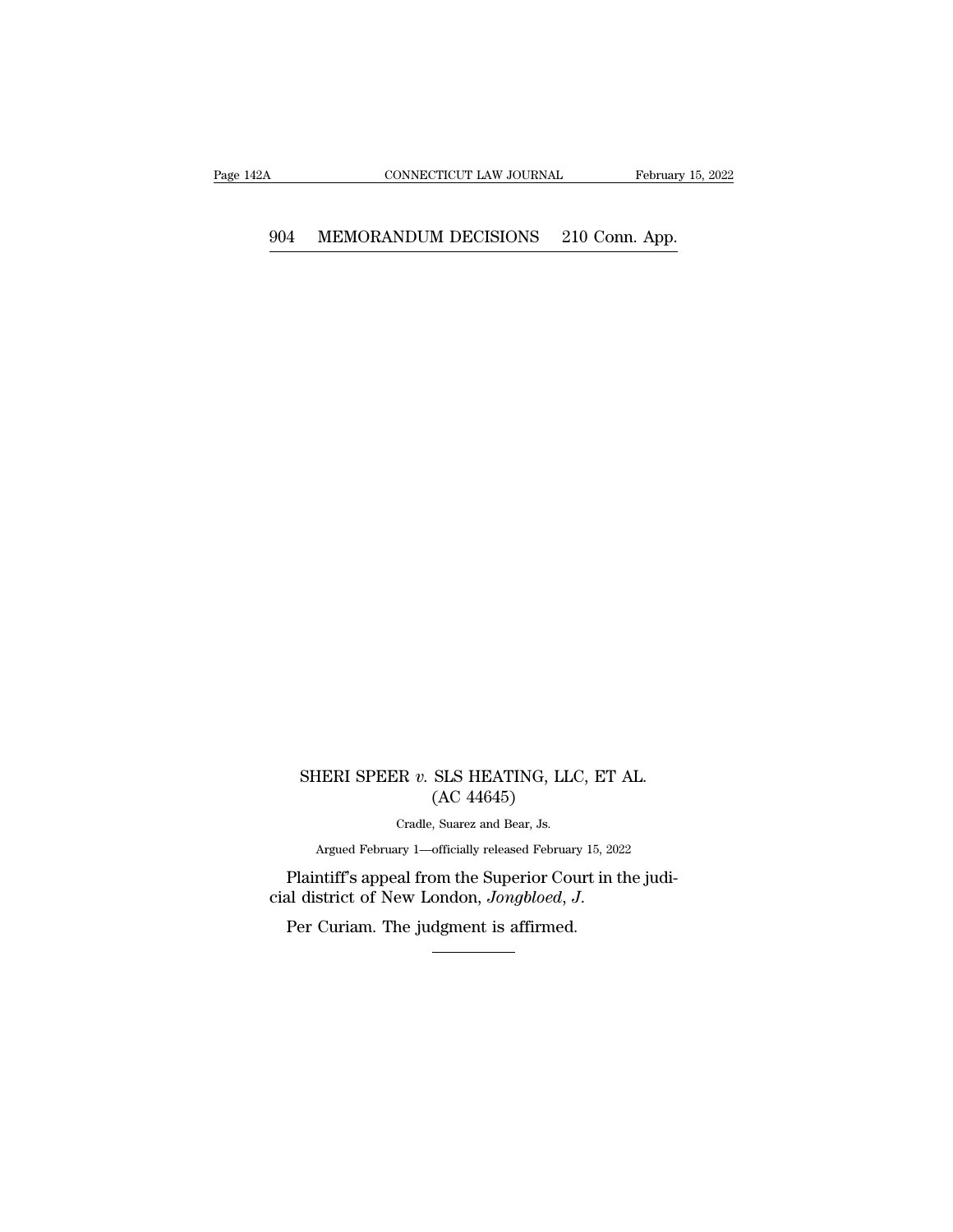# CONNECTICUT LAW JOURNAL February 15, 2<br>904 MEMORANDUM DECISIONS 210 Conn. App.

### SHERI SPEER *v*. SLS HEATING, LLC, ET AL. (AC 44645) SLS HEATING, LLO<br>(AC 44645)<br>, Suarez and Bear, Js.  $\begin{array}{l} \text{CR } v. \text{ SLS HEATING, LLG}\\ \text{(AC 44645)}\\ \text{Cradle, Suarez and Bear, Js.}\\ \text{av 1—officially released February}. \end{array}$ HERI SPEER v. SLS HEATING, LLC, ET AL.<br>
(AC 44645)<br>
Cradle, Suarez and Bear, Js.<br>
Argued February 1—officially released February 15, 2022<br>
ntiff's anneal from the Sunerior Court in the judi-

 ${\rm (AC~44645)}$   ${\rm Cradle,~Suarez~and~Bean,~Js.}$   ${\rm Argued~February~l—officially~released~February~15,~2022}$   ${\rm Plaintiff's~append~from~the~Superior~Count~in~the~judi-  
cial~district~of~New~London,~Jongbloed,~J.}$  <br>Per Curiam. The judgment is affirmed. SHERI SPEER v. SLS HEATING, LLC, ET.<br>
(AC 44645)<br>
Cradle, Suarez and Bear, Js.<br>
Argued February 1—officially released February 15, 202<br>
Plaintiff's appeal from the Superior Court in t<br>
cial district of New London, *Jongblo*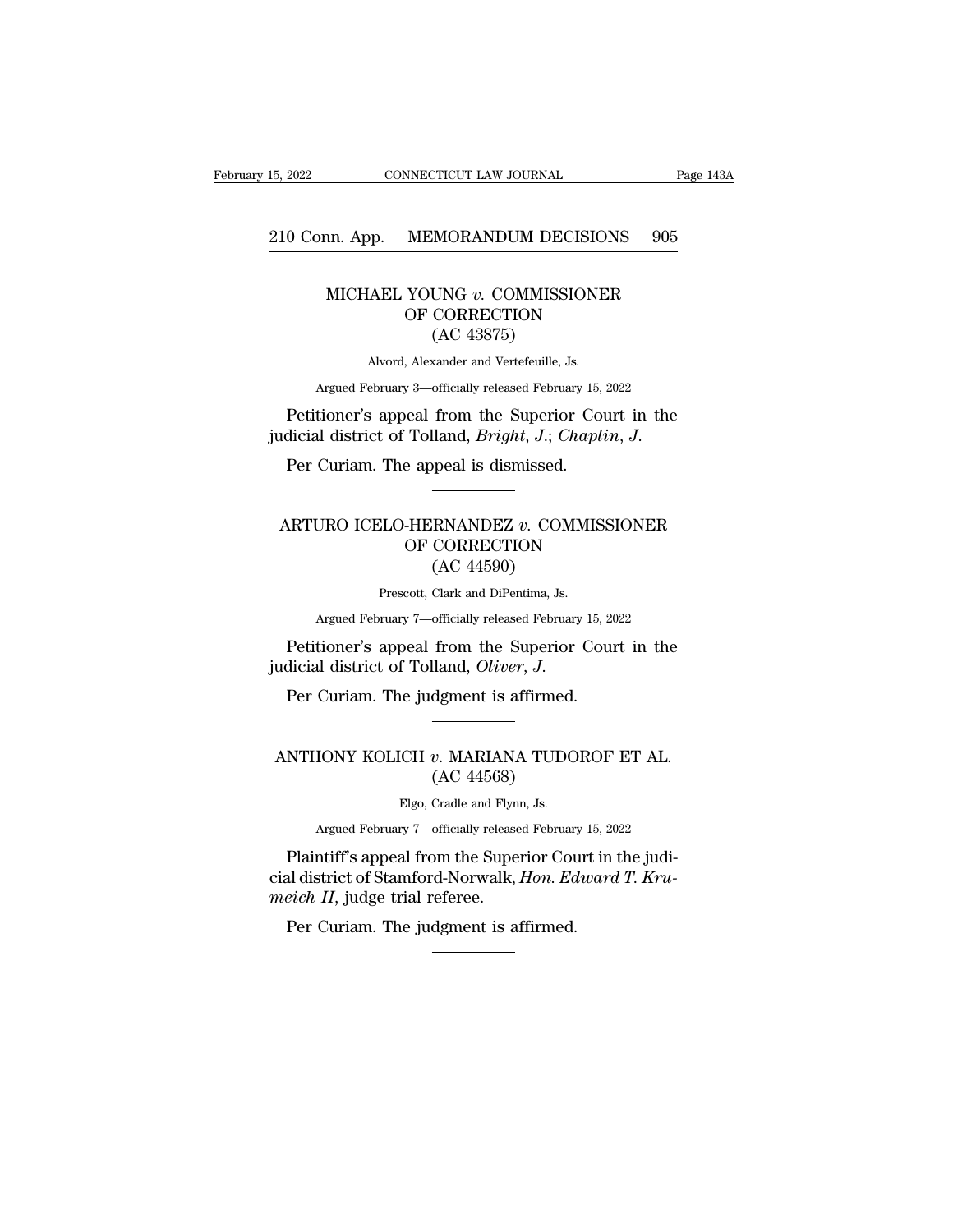# 15, 2022 CONNECTICUT LAW JOURNAL Page 143A<br>210 Conn. App. MEMORANDUM DECISIONS 905

### CONNECTICUT LAW JOURNAL Page 142<br>
12 Page 142<br>
12 MICHAEL YOUNG *v.* COMMISSIONER<br>
OF CORRECTION  $\begin{tabular}{l} \bf MEMORANDUM DECISIONS \\ \bf YOUNG\textit{ }v. \textit{COMMISSIONER} \\ \bf OF CORRECTION \\ \bf (AC 43875) \end{tabular}$ MORANDUM DEC<br>UNG v. COMMISSI<br>CORRECTION<br>(AC 43875)<br>xander and Vertefeuille, Js MICHAEL YOUNG  $v$ . COMMISSIONER<br>OF CORRECTION<br>(AC 43875)<br>Alvord, Alexander and Vertefeuille, Js. MICHAEL YOUNG  $v$ . COMMISSIONER<br>
OF CORRECTION<br>
(AC 43875)<br>
Alvord, Alexander and Vertefeuille, Js.<br>
Argued February 3—officially released February 15, 2022<br>
Petitioner's appeal from the Superior Court in the<br>
dicial dist

Argued February 3—officially released February 15, 2022<br>Petitioner's appeal from the Superior Court in the OF CORRECTION<br>(AC 43875)<br>Alvord, Alexander and Vertefeuille, Js.<br>Argued February 3—officially released February 15, 2022<br>Petitioner's appeal from the Superior Court in the<br>judicial district of Tolland, *Bright*, J.; *Chapl* 

#### Petitioner's appeal from the Superior Court in the<br>dicial district of Tolland, *Bright*, *J*.; *Chaplin*, *J.*<br>Per Curiam. The appeal is dismissed.<br>ARTURO ICELO-HERNANDEZ *v.* COMMISSIONER<br>OF CORRECTION ear from the superior Court in<br>Tolland, *Bright, J.*; *Chaplin, J.*<br>e appeal is dismissed.<br>THERNANDEZ v. COMMISSIONE<br>OF CORRECTION (AC 44590) mand, *Bright*, *J.*, *Ch*,<br>ppeal is dismissed.<br>**RNANDEZ** *v.* COM<br>CORRECTION<br>(AC 44590)<br>Clark and DiPentima, Js. ARTURO ICELO-HERNANDEZ  $v$ . COMMISSIONER<br>
OF CORRECTION<br>
(AC 44590)<br>
Prescott, Clark and DiPentima, Js.<br>
Argued February 7—officially released February 15, 2022  $\footnotesize$  CORRECTION<br>  $\footnotesize$  CORRECTION<br>  $\footnotesize$  (AC 44590)<br>
Prescott, Clark and DiPentima, Js.<br>
Argued February 7—officially released February 15, 2022<br>
Tioner's anneal from the Sunerior Court in the ARTURO ICELO-HERNANDEZ  $v$ . COMMISSIONER<br>
OF CORRECTION<br>
(AC 44590)<br>
Prescott, Clark and DiPentima, Js.<br>
Argued February 7—officially released February 15, 2022<br>
Petitioner's appeal from the Superior Court in the<br>
dicial

OF CORRECTION<br>
(AC 44590)<br>
Prescott, Clark and DiPentima, Js.<br>
Argued February 7—officially released February 15, 20<br>
Petitioner's appeal from the Superior Coun<br>
judicial district of Tolland, *Oliver*, *J*.<br>
Per Curiam. Th Petitioner's appeal from the Superior Court in the<br>udicial district of Tolland, *Oliver*, *J*.<br>Per Curiam. The judgment is affirmed.<br>ANTHONY KOLICH *v*. MARIANA TUDOROF ET AL.<br>(AC 44568)

## Hom the superior<br>Iland, *Oliver*, *J.*<br>dgment is affirmed.<br>w. MARIANA TUDC<br>(AC 44568)<br>Cradle and Flynn, Js. CH v. MARIANA TUDC<br>(AC 44568)<br>Elgo, Cradle and Flynn, Js.<br>rv 7—officially released Februar HONY KOLICH v. MARIANA TUDOROF ET AL.<br>
(AC 44568)<br>
Elgo, Cradle and Flynn, Js.<br>
Argued February 7—officially released February 15, 2022<br>
ntiff's anneal from the Sunerior Court in the judi-

NTHONY KOLICH v. MARIANA TUDOROF ET AL.<br>
(AC 44568)<br>
Elgo, Cradle and Flynn, Js.<br>
Argued February 7—officially released February 15, 2022<br>
Plaintiff's appeal from the Superior Court in the judi-<br>
al district of Stamford-No ANTHONY KOLICH v. MARIANA TUDOROF ET AL.<br>
(AC 44568)<br>
Elgo, Cradle and Flynn, Js.<br>
Argued February 7—officially released February 15, 2022<br>
Plaintiff's appeal from the Superior Court in the judi-<br>
cial district of Stamford (AC 44568)<br>Elgo, Cradle and Flynn<br>Argued February 7—officially release<br>Plaintiff's appeal from the Super<br>cial district of Stamford-Norwalk, *i*<br>meich II, judge trial referee.<br>Per Curiam. The judgment is af Elgo, Cradle and Flynn, Js.<br>Argued February 7—officially released Februar:<br>Plaintiff's appeal from the Superior Cou<br>al district of Stamford-Norwalk, *Hon. Ed*<br>eich II, judge trial referee.<br>Per Curiam. The judgment is affir